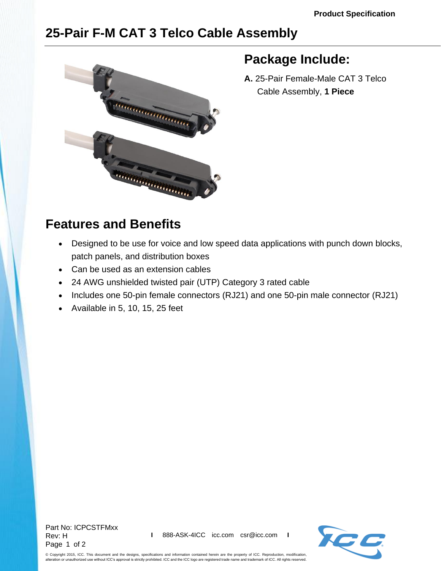## **25-Pair F-M CAT 3 Telco Cable Assembly**



## **Package Include:**

**A.** 25-Pair Female-Male CAT 3 Telco Cable Assembly, **1 Piece**

## **Features and Benefits**

- Designed to be use for voice and low speed data applications with punch down blocks, patch panels, and distribution boxes
- Can be used as an extension cables
- 24 AWG unshielded twisted pair (UTP) Category 3 rated cable
- Includes one 50-pin female connectors (RJ21) and one 50-pin male connector (RJ21)
- Available in 5, 10, 15, 25 feet

Part No: ICPCSTFMxx Rev: H Page 1 of 2



© Copyright 2015, ICC. This document and the designs, specifications and information contained herein are the property of ICC. Reproduction, modification, alteration or unauthorized use without ICC's approval is strictly prohibited. ICC and the ICC logo are registered trade name and trademark of ICC. All rights reserved.